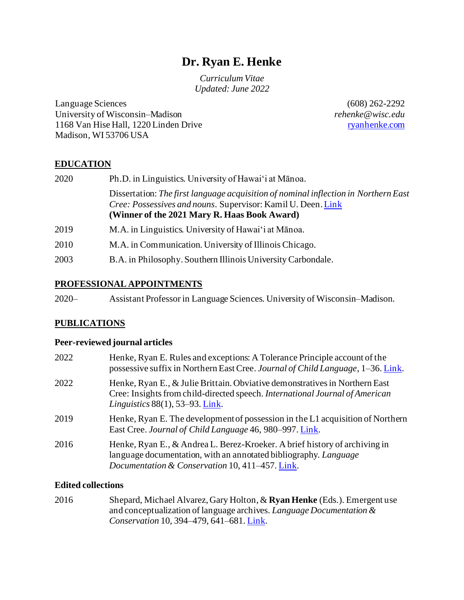# **Dr. Ryan E. Henke**

*Curriculum Vitae Updated: June 2022*

Language Sciences University of Wisconsin–Madison 1168 Van Hise Hall, 1220 Linden Drive Madison, WI 53706 USA

(608) 262-2292 *rehenke@wisc.edu* [ryanhenke.com](https://ryanhenke.com/)

# **EDUCATION**

| 2020 | Ph.D. in Linguistics. University of Hawai'i at Mānoa.                                                                                                                                               |
|------|-----------------------------------------------------------------------------------------------------------------------------------------------------------------------------------------------------|
|      | Dissertation: The first language acquisition of nominal inflection in Northern East<br>Cree: Possessives and nouns. Supervisor: Kamil U. Deen. Link<br>(Winner of the 2021 Mary R. Haas Book Award) |
| 2019 | M.A. in Linguistics. University of Hawai'i at Mānoa.                                                                                                                                                |
| 2010 | M.A. in Communication. University of Illinois Chicago.                                                                                                                                              |
| 2003 | B.A. in Philosophy. Southern Illinois University Carbondale.                                                                                                                                        |

#### **PROFESSIONAL APPOINTMENTS**

| $2020 -$ | Assistant Professor in Language Sciences. University of Wisconsin–Madison. |  |  |
|----------|----------------------------------------------------------------------------|--|--|
|          |                                                                            |  |  |
|          |                                                                            |  |  |

# **PUBLICATIONS**

#### **Peer-reviewed journal articles**

| 2022 | Henke, Ryan E. Rules and exceptions: A Tolerance Principle account of the<br>possessive suffix in Northern East Cree. Journal of Child Language, 1-36. Link.                                      |
|------|---------------------------------------------------------------------------------------------------------------------------------------------------------------------------------------------------|
| 2022 | Henke, Ryan E., & Julie Brittain. Obviative demonstratives in Northern East<br>Cree: Insights from child-directed speech. International Journal of American<br>Linguistics $88(1)$ , 53–93. Link. |
| 2019 | Henke, Ryan E. The development of possession in the L1 acquisition of Northern<br>East Cree. Journal of Child Language 46, 980–997. Link.                                                         |
| 2016 | Henke, Ryan E., & Andrea L. Berez-Kroeker. A brief history of archiving in<br>language documentation, with an annotated bibliography. Language<br>Documentation & Conservation 10, 411–457. Link. |

# **Edited collections**

2016 Shepard, Michael Alvarez, Gary Holton, & **Ryan Henke** (Eds.). Emergent use and conceptualization of language archives. *Language Documentation & Conservation* 10, 394–479, 641–681. [Link.](http://nflrc.hawaii.edu/ldc/vol-10-2016/)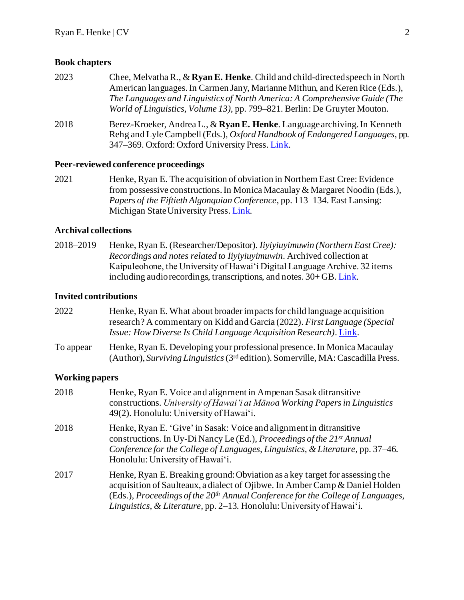#### **Book chapters**

2023 Chee, Melvatha R., & **Ryan E. Henke**. Child and child-directed speech in North American languages. In Carmen Jany, Marianne Mithun, and Keren Rice (Eds.), *The Languages and Linguistics of North America: A Comprehensive Guide (The World of Linguistics, Volume 13)*, pp. 799–821. Berlin: De Gruyter Mouton. 2018 Berez-Kroeker, Andrea L., & **Ryan E. Henke**. Language archiving. In Kenneth Rehg and Lyle Campbell (Eds.), *Oxford Handbook of Endangered Languages*, pp. 347–369. Oxford: Oxford University Press. [Link.](https://www.oxfordhandbooks.com/view/10.1093/oxfordhb/9780190610029.001.0001/oxfordhb-9780190610029-e-18)

#### **Peer-reviewed conference proceedings**

2021 Henke, Ryan E. The acquisition of obviation in Northern East Cree: Evidence from possessive constructions. In Monica Macaulay & Margaret Noodin (Eds.), *Papers of the Fiftieth Algonquian Conference*, pp. 113–134. East Lansing: Michigan State University Press. [Link.](https://ryanehenke.files.wordpress.com/2022/01/henke-acquisition_of_obviation_in_nec-2021.pdf)

#### **Archival collections**

2018–2019 Henke, Ryan E. (Researcher/Depositor). *Iiyiyiuyimuwin (Northern East Cree): Recordings and notes related to Iiyiyiuyimuwin*. Archived collection at Kaipuleohone, the University of Hawai'i Digital Language Archive. 32 items including audio recordings, transcriptions, and notes. 30+ GB[. Link.](https://scholarspace.manoa.hawaii.edu/handle/10125/58811)

#### **Invited contributions**

| 2022      | Henke, Ryan E. What about broader impacts for child language acquisition                                                                                        |
|-----------|-----------------------------------------------------------------------------------------------------------------------------------------------------------------|
|           | research? A commentary on Kidd and Garcia (2022). First Language (Special                                                                                       |
|           | <i>Issue: How Diverse Is Child Language Acquisition Research). Link.</i>                                                                                        |
| To appear | Henke, Ryan E. Developing your professional presence. In Monica Macaulay<br>(Author), Surviving Linguistics ( $3rd$ edition). Somerville, MA: Cascadilla Press. |

#### **Working papers**

| 2018 | Henke, Ryan E. Voice and alignment in Ampenan Sasak ditransitive<br>constructions. University of Hawai'i at Mānoa Working Papers in Linguistics<br>49(2). Honolulu: University of Hawai'i.                                                                                                                                |
|------|---------------------------------------------------------------------------------------------------------------------------------------------------------------------------------------------------------------------------------------------------------------------------------------------------------------------------|
| 2018 | Henke, Ryan E. 'Give' in Sasak: Voice and alignment in ditransitive<br>constructions. In Uy-Di Nancy Le (Ed.), Proceedings of the 21st Annual<br>Conference for the College of Languages, Linguistics, & Literature, pp. 37–46.<br>Honolulu: University of Hawai'i.                                                       |
| 2017 | Henke, Ryan E. Breaking ground: Obviation as a key target for assessing the<br>acquisition of Saulteaux, a dialect of Ojibwe. In Amber Camp & Daniel Holden<br>(Eds.), Proceedings of the $20th$ Annual Conference for the College of Languages,<br>Linguistics, & Literature, pp. 2-13. Honolulu: University of Hawai'i. |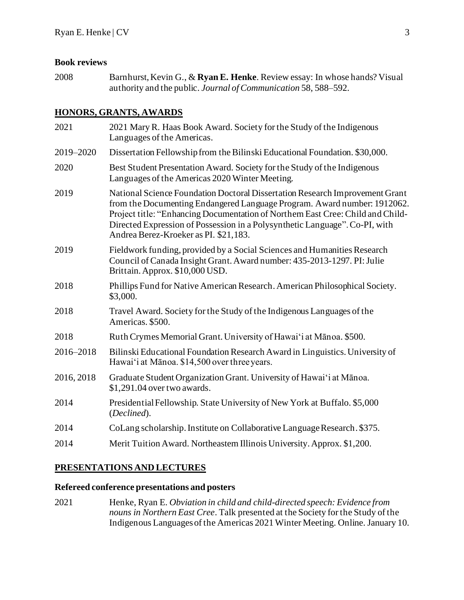#### **Book reviews**

2008 Barnhurst, Kevin G., & **Ryan E. Henke**. Review essay: In whose hands? Visual authority and the public. *Journal of Communication* 58, 588–592.

# **HONORS, GRANTS, AWARDS**

| 2021       | 2021 Mary R. Haas Book Award. Society for the Study of the Indigenous<br>Languages of the Americas.                                                                                                                                                                                                                                                                 |
|------------|---------------------------------------------------------------------------------------------------------------------------------------------------------------------------------------------------------------------------------------------------------------------------------------------------------------------------------------------------------------------|
| 2019-2020  | Dissertation Fellowship from the Bilinski Educational Foundation. \$30,000.                                                                                                                                                                                                                                                                                         |
| 2020       | Best Student Presentation Award. Society for the Study of the Indigenous<br>Languages of the Americas 2020 Winter Meeting.                                                                                                                                                                                                                                          |
| 2019       | National Science Foundation Doctoral Dissertation Research Improvement Grant<br>from the Documenting Endangered Language Program. Award number: 1912062.<br>Project title: "Enhancing Documentation of Northern East Cree: Child and Child-<br>Directed Expression of Possession in a Polysynthetic Language". Co-PI, with<br>Andrea Berez-Kroeker as PI. \$21,183. |
| 2019       | Fieldwork funding, provided by a Social Sciences and Humanities Research<br>Council of Canada Insight Grant. Award number: 435-2013-1297. PI: Julie<br>Brittain. Approx. \$10,000 USD.                                                                                                                                                                              |
| 2018       | Phillips Fund for Native American Research. American Philosophical Society.<br>\$3,000.                                                                                                                                                                                                                                                                             |
| 2018       | Travel Award. Society for the Study of the Indigenous Languages of the<br>Americas. \$500.                                                                                                                                                                                                                                                                          |
| 2018       | Ruth Crymes Memorial Grant. University of Hawai'i at Mānoa. \$500.                                                                                                                                                                                                                                                                                                  |
| 2016-2018  | Bilinski Educational Foundation Research Award in Linguistics. University of<br>Hawai'i at Mānoa. \$14,500 over three years.                                                                                                                                                                                                                                        |
| 2016, 2018 | Graduate Student Organization Grant. University of Hawai'i at Mānoa.<br>\$1,291.04 over two awards.                                                                                                                                                                                                                                                                 |
| 2014       | Presidential Fellowship. State University of New York at Buffalo. \$5,000<br>(Declined).                                                                                                                                                                                                                                                                            |
| 2014       | CoLang scholarship. Institute on Collaborative Language Research. \$375.                                                                                                                                                                                                                                                                                            |
| 2014       | Merit Tuition Award. Northeastern Illinois University. Approx. \$1,200.                                                                                                                                                                                                                                                                                             |

# **PRESENTATIONS AND LECTURES**

# **Refereed conference presentations and posters**

2021 Henke, Ryan E. *Obviation in child and child-directed speech: Evidence from nouns in Northern East Cree*. Talk presented at the Society for the Study of the Indigenous Languages of the Americas 2021 Winter Meeting. Online. January 10.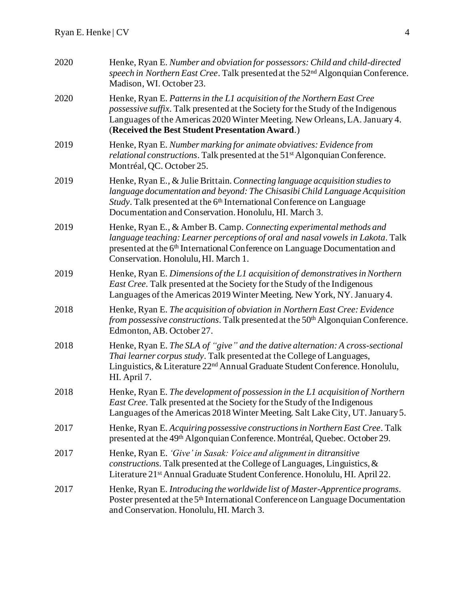| 2020 | Henke, Ryan E. Number and obviation for possessors: Child and child-directed<br>speech in Northern East Cree. Talk presented at the 52 <sup>nd</sup> Algonquian Conference.<br>Madison, WI. October 23.                                                                                                    |
|------|------------------------------------------------------------------------------------------------------------------------------------------------------------------------------------------------------------------------------------------------------------------------------------------------------------|
| 2020 | Henke, Ryan E. Patterns in the L1 acquisition of the Northern East Cree<br>possessive suffix. Talk presented at the Society for the Study of the Indigenous<br>Languages of the Americas 2020 Winter Meeting. New Orleans, LA. January 4.<br>(Received the Best Student Presentation Award.)               |
| 2019 | Henke, Ryan E. Number marking for animate obviatives: Evidence from<br><i>relational constructions.</i> Talk presented at the 51 <sup>st</sup> Algonquian Conference.<br>Montréal, QC. October 25.                                                                                                         |
| 2019 | Henke, Ryan E., & Julie Brittain. Connecting language acquisition studies to<br>language documentation and beyond: The Chisasibi Child Language Acquisition<br>Study. Talk presented at the 6 <sup>th</sup> International Conference on Language<br>Documentation and Conservation. Honolulu, HI. March 3. |
| 2019 | Henke, Ryan E., & Amber B. Camp. Connecting experimental methods and<br>language teaching: Learner perceptions of oral and nasal vowels in Lakota. Talk<br>presented at the 6 <sup>th</sup> International Conference on Language Documentation and<br>Conservation. Honolulu, HI. March 1.                 |
| 2019 | Henke, Ryan E. Dimensions of the L1 acquisition of demonstratives in Northern<br>East Cree. Talk presented at the Society for the Study of the Indigenous<br>Languages of the Americas 2019 Winter Meeting. New York, NY. January 4.                                                                       |
| 2018 | Henke, Ryan E. The acquisition of obviation in Northern East Cree: Evidence<br>from possessive constructions. Talk presented at the 50 <sup>th</sup> Algonquian Conference.<br>Edmonton, AB. October 27.                                                                                                   |
| 2018 | Henke, Ryan E. The SLA of "give" and the dative alternation: A cross-sectional<br>Thai learner corpus study. Talk presented at the College of Languages,<br>Linguistics, & Literature 22 <sup>nd</sup> Annual Graduate Student Conference. Honolulu,<br>HI. April 7.                                       |
| 2018 | Henke, Ryan E. The development of possession in the L1 acquisition of Northern<br>East Cree. Talk presented at the Society for the Study of the Indigenous<br>Languages of the Americas 2018 Winter Meeting. Salt Lake City, UT. January 5.                                                                |
| 2017 | Henke, Ryan E. Acquiring possessive constructions in Northern East Cree. Talk<br>presented at the 49 <sup>th</sup> Algonquian Conference. Montréal, Quebec. October 29.                                                                                                                                    |
| 2017 | Henke, Ryan E. 'Give' in Sasak: Voice and alignment in ditransitive<br><i>constructions</i> . Talk presented at the College of Languages, Linguistics, $\&$<br>Literature 21st Annual Graduate Student Conference. Honolulu, HI. April 22.                                                                 |
| 2017 | Henke, Ryan E. Introducing the worldwide list of Master-Apprentice programs.<br>Poster presented at the 5 <sup>th</sup> International Conference on Language Documentation<br>and Conservation. Honolulu, HI. March 3.                                                                                     |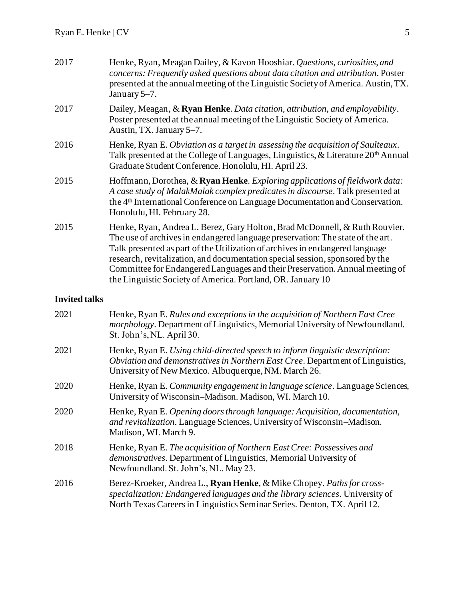| 2017                 | Henke, Ryan, Meagan Dailey, & Kavon Hooshiar. Questions, curiosities, and<br>concerns: Frequently asked questions about data citation and attribution. Poster<br>presented at the annual meeting of the Linguistic Society of America. Austin, TX.<br>January 5–7.                                                                                                                                                                                                           |
|----------------------|------------------------------------------------------------------------------------------------------------------------------------------------------------------------------------------------------------------------------------------------------------------------------------------------------------------------------------------------------------------------------------------------------------------------------------------------------------------------------|
| 2017                 | Dailey, Meagan, & Ryan Henke. Data citation, attribution, and employability.<br>Poster presented at the annual meeting of the Linguistic Society of America.<br>Austin, TX. January 5-7.                                                                                                                                                                                                                                                                                     |
| 2016                 | Henke, Ryan E. Obviation as a target in assessing the acquisition of Saulteaux.<br>Talk presented at the College of Languages, Linguistics, & Literature 20 <sup>th</sup> Annual<br>Graduate Student Conference. Honolulu, HI. April 23.                                                                                                                                                                                                                                     |
| 2015                 | Hoffmann, Dorothea, & Ryan Henke. Exploring applications of fieldwork data:<br>A case study of MalakMalak complex predicates in discourse. Talk presented at<br>the 4 <sup>th</sup> International Conference on Language Documentation and Conservation.<br>Honolulu, HI. February 28.                                                                                                                                                                                       |
| 2015                 | Henke, Ryan, Andrea L. Berez, Gary Holton, Brad McDonnell, & Ruth Rouvier.<br>The use of archives in endangered language preservation: The state of the art.<br>Talk presented as part of the Utilization of archives in endangered language<br>research, revitalization, and documentation special session, sponsored by the<br>Committee for Endangered Languages and their Preservation. Annual meeting of<br>the Linguistic Society of America. Portland, OR. January 10 |
| <b>Invited talks</b> |                                                                                                                                                                                                                                                                                                                                                                                                                                                                              |
| 2021                 | Henke, Ryan E. Rules and exceptions in the acquisition of Northern East Cree                                                                                                                                                                                                                                                                                                                                                                                                 |

| ∠∪∠⊥ | Henne, Hyan L. Kates and exceptions in the acquisition of tyornich Last Cree<br><i>morphology</i> . Department of Linguistics, Memorial University of Newfoundland.<br>St. John's, NL. April 30.                                  |
|------|-----------------------------------------------------------------------------------------------------------------------------------------------------------------------------------------------------------------------------------|
| 2021 | Henke, Ryan E. Using child-directed speech to inform linguistic description:<br>Obviation and demonstratives in Northern East Cree. Department of Linguistics,<br>University of New Mexico. Albuquerque, NM. March 26.            |
| 2020 | Henke, Ryan E. Community engagement in language science. Language Sciences,<br>University of Wisconsin–Madison. Madison, WI. March 10.                                                                                            |
| 2020 | Henke, Ryan E. Opening doors through language: Acquisition, documentation,<br>and revitalization. Language Sciences, University of Wisconsin-Madison.<br>Madison, WI. March 9.                                                    |
| 2018 | Henke, Ryan E. The acquisition of Northern East Cree: Possessives and<br><i>demonstratives.</i> Department of Linguistics, Memorial University of<br>Newfoundland. St. John's, NL. May 23.                                        |
| 2016 | Berez-Kroeker, Andrea L., Ryan Henke, & Mike Chopey. Paths for cross-<br>specialization: Endangered languages and the library sciences. University of<br>North Texas Careers in Linguistics Seminar Series. Denton, TX. April 12. |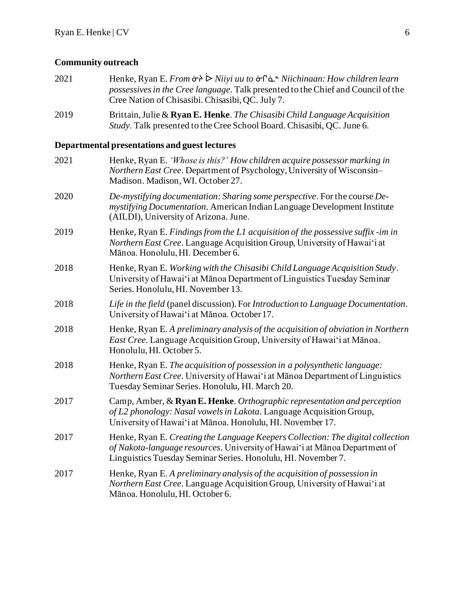# **Community outreach**

| 2021 | Henke, Ryan E. From $\sigma$ > $\triangleright$ Niiyi uu to $\sigma$ ^ ∴^ Niichinaan: How children learn<br>possessives in the Cree language. Talk presented to the Chief and Council of the<br>Cree Nation of Chisasibi. Chisasibi, QC. July 7. |
|------|--------------------------------------------------------------------------------------------------------------------------------------------------------------------------------------------------------------------------------------------------|
| 2019 | Brittain, Julie & Ryan E. Henke. The Chisasibi Child Language Acquisition<br>Study. Talk presented to the Cree School Board. Chisasibi, QC. June 6.                                                                                              |
|      | Departmental presentations and guest lectures                                                                                                                                                                                                    |
| 2021 | Henke, Ryan E. 'Whose is this?' How children acquire possessor marking in<br>Northern East Cree. Department of Psychology, University of Wisconsin-<br>Madison. Madison, WI. October 27.                                                         |
| 2020 | De-mystifying documentation: Sharing some perspective. For the course De-<br>mystifying Documentation. American Indian Language Development Institute<br>(AILDI), University of Arizona. June.                                                   |
| 2019 | Henke, Ryan E. Findings from the L1 acquisition of the possessive suffix-im in<br>Northern East Cree. Language Acquisition Group, University of Hawai'i at<br>Mānoa. Honolulu, HI. December 6.                                                   |
| 2018 | Henke, Ryan E. Working with the Chisasibi Child Language Acquisition Study.<br>University of Hawai'i at Mānoa Department of Linguistics Tuesday Seminar<br>Series. Honolulu, HI. November 13.                                                    |
| 2018 | Life in the field (panel discussion). For Introduction to Language Documentation.<br>University of Hawai'i at Mānoa. October 17.                                                                                                                 |
| 2018 | Henke, Ryan E. A preliminary analysis of the acquisition of obviation in Northern<br>East Cree. Language Acquisition Group, University of Hawai'i at Mānoa.<br>Honolulu, HI. October 5.                                                          |
| 2018 | Henke, Ryan E. The acquisition of possession in a polysynthetic language:<br>Northern East Cree. University of Hawai'i at Mānoa Department of Linguistics<br>Tuesday Seminar Series. Honolulu, HI. March 20.                                     |
| 2017 | Camp, Amber, & Ryan E. Henke. Orthographic representation and perception<br>of L2 phonology: Nasal vowels in Lakota. Language Acquisition Group,<br>University of Hawai'i at Mānoa. Honolulu, HI. November 17.                                   |
| 2017 | Henke, Ryan E. Creating the Language Keepers Collection: The digital collection<br>of Nakota-language resources. University of Hawai'i at Mānoa Department of<br>Linguistics Tuesday Seminar Series. Honolulu, HI. November 7.                   |
| 2017 | Henke, Ryan E. A preliminary analysis of the acquisition of possession in<br><i>Northern East Cree.</i> Language Acquisition Group, University of Hawai'i at<br>Mānoa. Honolulu, HI. October 6.                                                  |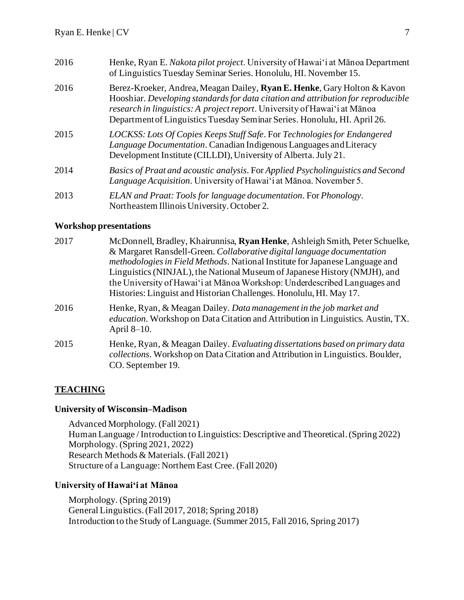| 2016 | Henke, Ryan E. Nakota pilot project. University of Hawai'i at Mānoa Department<br>of Linguistics Tuesday Seminar Series. Honolulu, HI. November 15.                                                                                                                                                                             |
|------|---------------------------------------------------------------------------------------------------------------------------------------------------------------------------------------------------------------------------------------------------------------------------------------------------------------------------------|
| 2016 | Berez-Kroeker, Andrea, Meagan Dailey, <b>Ryan E. Henke</b> , Gary Holton & Kavon<br>Hooshiar. Developing standards for data citation and attribution for reproducible<br>research in linguistics: A project report. University of Hawai'i at Mānoa<br>Department of Linguistics Tuesday Seminar Series. Honolulu, HI. April 26. |
| 2015 | LOCKSS: Lots Of Copies Keeps Stuff Safe. For Technologies for Endangered<br>Language Documentation. Canadian Indigenous Languages and Literacy<br>Development Institute (CILLDI), University of Alberta. July 21.                                                                                                               |
| 2014 | Basics of Praat and acoustic analysis. For Applied Psycholinguistics and Second<br>Language Acquisition. University of Hawai'i at Mānoa. November 5.                                                                                                                                                                            |
| 2013 | ELAN and Praat: Tools for language documentation. For Phonology.<br>Northeastern Illinois University. October 2.                                                                                                                                                                                                                |

#### **Workshop presentations**

| 2017 | McDonnell, Bradley, Khairunnisa, Ryan Henke, Ashleigh Smith, Peter Schuelke,                                                                                                         |
|------|--------------------------------------------------------------------------------------------------------------------------------------------------------------------------------------|
|      | & Margaret Ransdell-Green. Collaborative digital language documentation                                                                                                              |
|      | methodologies in Field Methods. National Institute for Japanese Language and                                                                                                         |
|      | Linguistics (NINJAL), the National Museum of Japanese History (NMJH), and                                                                                                            |
|      | the University of Hawai'i at Mānoa Workshop: Underdescribed Languages and                                                                                                            |
|      | Histories: Linguist and Historian Challenges. Honolulu, HI. May 17.                                                                                                                  |
| 2016 | Henke, Ryan, & Meagan Dailey. Data management in the job market and<br>education. Workshop on Data Citation and Attribution in Linguistics. Austin, TX.<br>April $8-10$ .            |
| 2015 | Henke, Ryan, & Meagan Dailey. Evaluating dissertations based on primary data<br>collections. Workshop on Data Citation and Attribution in Linguistics. Boulder,<br>CO. September 19. |

# **TEACHING**

# **University of Wisconsin–Madison**

Advanced Morphology. (Fall 2021) Human Language / Introduction to Linguistics: Descriptive and Theoretical. (Spring 2022) Morphology. (Spring 2021, 2022) Research Methods & Materials. (Fall 2021) Structure of a Language: Northern East Cree. (Fall 2020)

# **University of Hawai'i at Mānoa**

Morphology. (Spring 2019) General Linguistics.(Fall 2017, 2018; Spring 2018) Introduction to the Study of Language. (Summer 2015, Fall 2016, Spring 2017)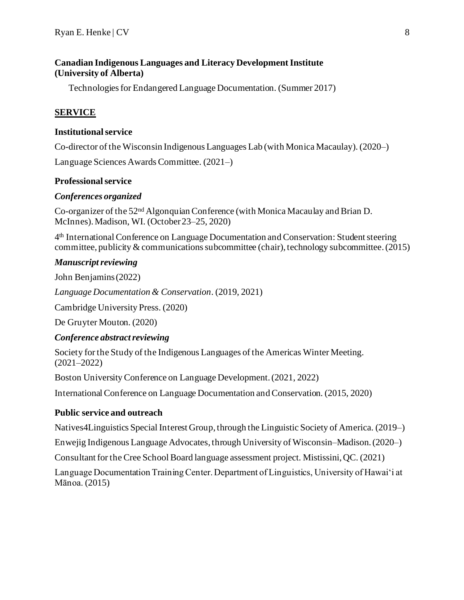# **Canadian Indigenous Languages and Literacy Development Institute (University of Alberta)**

Technologies for Endangered Language Documentation. (Summer 2017)

# **SERVICE**

#### **Institutional service**

Co-director of the Wisconsin Indigenous Languages Lab (with Monica Macaulay). (2020–)

Language Sciences Awards Committee. (2021–)

# **Professional service**

#### *Conferences organized*

Co-organizer of the 52nd Algonquian Conference (with Monica Macaulay and Brian D. McInnes). Madison, WI. (October 23–25, 2020)

4 th International Conference on Language Documentation and Conservation: Student steering committee, publicity & communications subcommittee (chair), technology subcommittee. (2015)

#### *Manuscript reviewing*

John Benjamins (2022)

*Language Documentation & Conservation*. (2019, 2021)

Cambridge University Press. (2020)

De Gruyter Mouton. (2020)

# *Conference abstract reviewing*

Society for the Study of the Indigenous Languages of the Americas Winter Meeting. (2021–2022)

Boston University Conference on Language Development. (2021, 2022)

International Conference on Language Documentation and Conservation. (2015, 2020)

# **Public service and outreach**

Natives4Linguistics Special Interest Group, through the Linguistic Society of America. (2019–)

Enwejig Indigenous Language Advocates, through University of Wisconsin–Madison.(2020–)

Consultant for the Cree School Board language assessment project. Mistissini, QC. (2021)

Language Documentation Training Center. Department of Linguistics, University of Hawaiʻi at Mānoa. (2015)